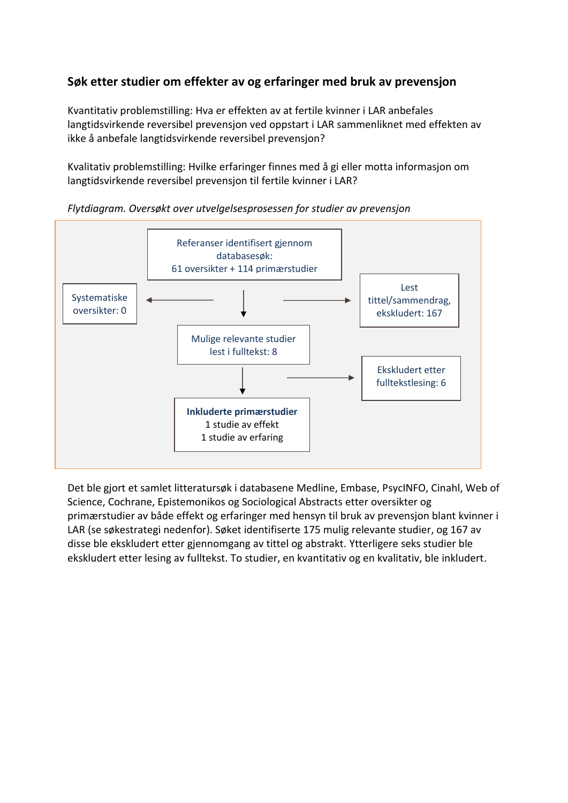### **Søk etter studier om effekter av og erfaringer med bruk av prevensjon**

Kvantitativ problemstilling: Hva er effekten av at fertile kvinner i LAR anbefales langtidsvirkende reversibel prevensjon ved oppstart i LAR sammenliknet med effekten av ikke å anbefale langtidsvirkende reversibel prevensjon?

Kvalitativ problemstilling: Hvilke erfaringer finnes med å gi eller motta informasjon om langtidsvirkende reversibel prevensjon til fertile kvinner i LAR?



*Flytdiagram. Oversøkt over utvelgelsesprosessen for studier av prevensjon*

Det ble gjort et samlet litteratursøk i databasene Medline, Embase, PsycINFO, Cinahl, Web of Science, Cochrane, Epistemonikos og Sociological Abstracts etter oversikter og primærstudier av både effekt og erfaringer med hensyn til bruk av prevensjon blant kvinner i LAR (se søkestrategi nedenfor). Søket identifiserte 175 mulig relevante studier, og 167 av disse ble ekskludert etter gjennomgang av tittel og abstrakt. Ytterligere seks studier ble ekskludert etter lesing av fulltekst. To studier, en kvantitativ og en kvalitativ, ble inkludert.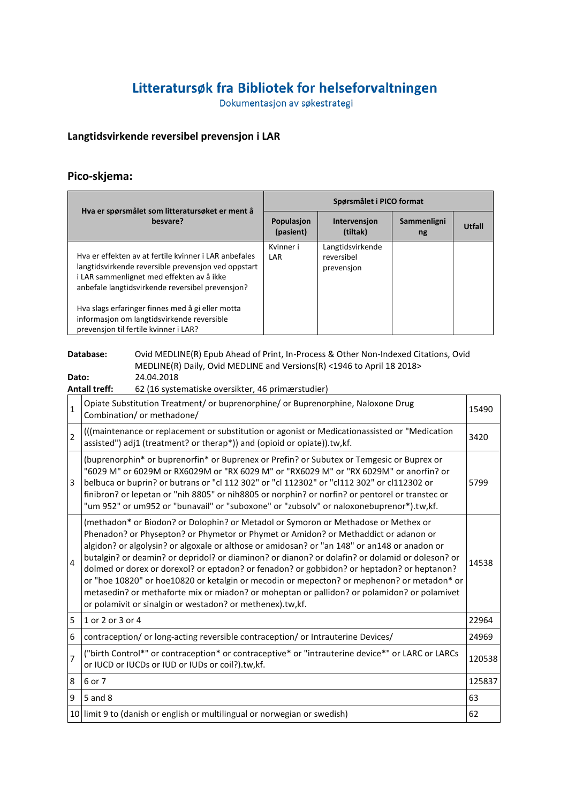# Litteratursøk fra Bibliotek for helseforvaltningen

Dokumentasjon av søkestrategi

#### **Langtidsvirkende reversibel prevensjon i LAR**

## **Pico-skjema:**

| Hva er spørsmålet som litteratursøket er ment å                                                                                                                                                               | Spørsmålet i PICO format       |                                              |                   |        |
|---------------------------------------------------------------------------------------------------------------------------------------------------------------------------------------------------------------|--------------------------------|----------------------------------------------|-------------------|--------|
| besvare?                                                                                                                                                                                                      | <b>Populasion</b><br>(pasient) | Intervension<br>(tiltak)                     | Sammenligni<br>ng | Utfall |
| Hya er effekten av at fertile kvinner i LAR anbefales<br>langtidsvirkende reversible prevension ved oppstart<br>i LAR sammenlignet med effekten av å ikke<br>anbefale langtidsvirkende reversibel prevension? | Kvinner i<br>LAR               | Langtidsvirkende<br>reversibel<br>prevension |                   |        |
| Hva slags erfaringer finnes med å gi eller motta<br>informasjon om langtidsvirkende reversible<br>prevension til fertile kvinner i LAR?                                                                       |                                |                                              |                   |        |

## **Database:** Ovid MEDLINE(R) Epub Ahead of Print, In-Process & Other Non-Indexed Citations, Ovid MEDLINE(R) Daily, Ovid MEDLINE and Versions(R) <1946 to April 18 2018>

|                                                                                                                                                                                                                                                                                                                                                                                                                                                                                                                                                                                                                                                                                                                                                        | Database:                                                                                                                                                                | Ovid MEDLINE(R) Epub Ahead of Print, In-Process & Other Non-Indexed Citations, Ovid<br>MEDLINE(R) Daily, Ovid MEDLINE and Versions(R) <1946 to April 18 2018> |        |
|--------------------------------------------------------------------------------------------------------------------------------------------------------------------------------------------------------------------------------------------------------------------------------------------------------------------------------------------------------------------------------------------------------------------------------------------------------------------------------------------------------------------------------------------------------------------------------------------------------------------------------------------------------------------------------------------------------------------------------------------------------|--------------------------------------------------------------------------------------------------------------------------------------------------------------------------|---------------------------------------------------------------------------------------------------------------------------------------------------------------|--------|
| Dato:                                                                                                                                                                                                                                                                                                                                                                                                                                                                                                                                                                                                                                                                                                                                                  | <b>Antall treff:</b>                                                                                                                                                     | 24.04.2018<br>62 (16 systematiske oversikter, 46 primærstudier)                                                                                               |        |
| $\mathbf{1}$                                                                                                                                                                                                                                                                                                                                                                                                                                                                                                                                                                                                                                                                                                                                           |                                                                                                                                                                          | Opiate Substitution Treatment/ or buprenorphine/ or Buprenorphine, Naloxone Drug<br>Combination/ or methadone/                                                | 15490  |
| $\overline{2}$                                                                                                                                                                                                                                                                                                                                                                                                                                                                                                                                                                                                                                                                                                                                         | (((maintenance or replacement or substitution or agonist or Medicationassisted or "Medication<br>assisted") adj1 (treatment? or therap*)) and (opioid or opiate)).tw,kf. |                                                                                                                                                               | 3420   |
| (buprenorphin* or buprenorfin* or Buprenex or Prefin? or Subutex or Temgesic or Buprex or<br>"6029 M" or 6029M or RX6029M or "RX 6029 M" or "RX6029 M" or "RX 6029M" or anorfin? or<br>belbuca or buprin? or butrans or "cl 112 302" or "cl 112302" or "cl112 302" or cl112302 or<br>3<br>finibron? or lepetan or "nih 8805" or nih 8805 or norphin? or norfin? or pentorel or transtec or<br>"um 952" or um952 or "bunavail" or "suboxone" or "zubsolv" or naloxonebuprenor*).tw,kf.                                                                                                                                                                                                                                                                  |                                                                                                                                                                          |                                                                                                                                                               | 5799   |
| (methadon* or Biodon? or Dolophin? or Metadol or Symoron or Methadose or Methex or<br>Phenadon? or Physepton? or Phymetor or Phymet or Amidon? or Methaddict or adanon or<br>algidon? or algolysin? or algoxale or althose or amidosan? or "an 148" or an148 or anadon or<br>butalgin? or deamin? or depridol? or diaminon? or dianon? or dolafin? or dolamid or doleson? or<br>$\overline{4}$<br>dolmed or dorex or dorexol? or eptadon? or fenadon? or gobbidon? or heptadon? or heptanon?<br>or "hoe 10820" or hoe10820 or ketalgin or mecodin or mepecton? or mephenon? or metadon* or<br>metasedin? or methaforte mix or miadon? or moheptan or pallidon? or polamidon? or polamivet<br>or polamivit or sinalgin or westadon? or methenex).tw,kf. |                                                                                                                                                                          | 14538                                                                                                                                                         |        |
| 5                                                                                                                                                                                                                                                                                                                                                                                                                                                                                                                                                                                                                                                                                                                                                      | $1$ or 2 or 3 or 4                                                                                                                                                       |                                                                                                                                                               | 22964  |
| 6                                                                                                                                                                                                                                                                                                                                                                                                                                                                                                                                                                                                                                                                                                                                                      |                                                                                                                                                                          | contraception/ or long-acting reversible contraception/ or Intrauterine Devices/                                                                              | 24969  |
| $\overline{7}$                                                                                                                                                                                                                                                                                                                                                                                                                                                                                                                                                                                                                                                                                                                                         |                                                                                                                                                                          | ("birth Control*" or contraception* or contraceptive* or "intrauterine device*" or LARC or LARCs<br>or IUCD or IUCDs or IUD or IUDs or coil?).tw,kf.          | 120538 |
| 8                                                                                                                                                                                                                                                                                                                                                                                                                                                                                                                                                                                                                                                                                                                                                      | 6 or 7                                                                                                                                                                   |                                                                                                                                                               | 125837 |
| 9                                                                                                                                                                                                                                                                                                                                                                                                                                                                                                                                                                                                                                                                                                                                                      | 5 and 8                                                                                                                                                                  |                                                                                                                                                               | 63     |
|                                                                                                                                                                                                                                                                                                                                                                                                                                                                                                                                                                                                                                                                                                                                                        |                                                                                                                                                                          | 10 limit 9 to (danish or english or multilingual or norwegian or swedish)                                                                                     | 62     |
|                                                                                                                                                                                                                                                                                                                                                                                                                                                                                                                                                                                                                                                                                                                                                        |                                                                                                                                                                          |                                                                                                                                                               |        |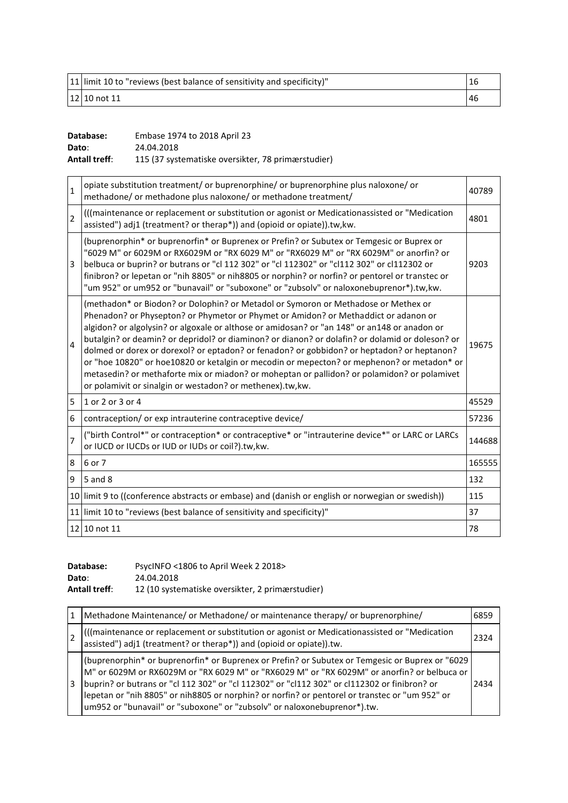| 11 limit 10 to "reviews (best balance of sensitivity and specificity)" |     |
|------------------------------------------------------------------------|-----|
| 12 10 not 11                                                           | -46 |

| Database:            | Embase 1974 to 2018 April 23                       |
|----------------------|----------------------------------------------------|
| Dato:                | 24.04.2018                                         |
| <b>Antall treff:</b> | 115 (37 systematiske oversikter, 78 primærstudier) |

| $\mathbf{1}$   | opiate substitution treatment/ or buprenorphine/ or buprenorphine plus naloxone/ or<br>methadone/ or methadone plus naloxone/ or methadone treatment/                                                                                                                                                                                                                                                                                                                                                                                                                                                                                                                                                                                | 40789  |
|----------------|--------------------------------------------------------------------------------------------------------------------------------------------------------------------------------------------------------------------------------------------------------------------------------------------------------------------------------------------------------------------------------------------------------------------------------------------------------------------------------------------------------------------------------------------------------------------------------------------------------------------------------------------------------------------------------------------------------------------------------------|--------|
| $\overline{2}$ | (((maintenance or replacement or substitution or agonist or Medicationassisted or "Medication<br>assisted") adj1 (treatment? or therap*)) and (opioid or opiate)).tw, kw.                                                                                                                                                                                                                                                                                                                                                                                                                                                                                                                                                            | 4801   |
| 3              | (buprenorphin* or buprenorfin* or Buprenex or Prefin? or Subutex or Temgesic or Buprex or<br>"6029 M" or 6029M or RX6029M or "RX 6029 M" or "RX6029 M" or "RX 6029M" or anorfin? or<br>belbuca or buprin? or butrans or "cl 112 302" or "cl 112302" or "cl112 302" or cl112302 or<br>finibron? or lepetan or "nih 8805" or nih 8805 or norphin? or norfin? or pentorel or transtec or<br>"um 952" or um952 or "bunavail" or "suboxone" or "zubsolv" or naloxonebuprenor*).tw,kw.                                                                                                                                                                                                                                                     | 9203   |
| $\overline{4}$ | (methadon* or Biodon? or Dolophin? or Metadol or Symoron or Methadose or Methex or<br>Phenadon? or Physepton? or Phymetor or Phymet or Amidon? or Methaddict or adanon or<br>algidon? or algolysin? or algoxale or althose or amidosan? or "an 148" or an148 or anadon or<br>butalgin? or deamin? or depridol? or diaminon? or dianon? or dolafin? or dolamid or doleson? or<br>dolmed or dorex or dorexol? or eptadon? or fenadon? or gobbidon? or heptadon? or heptanon?<br>or "hoe 10820" or hoe10820 or ketalgin or mecodin or mepecton? or mephenon? or metadon* or<br>metasedin? or methaforte mix or miadon? or moheptan or pallidon? or polamidon? or polamivet<br>or polamivit or sinalgin or westadon? or methenex).tw,kw. | 19675  |
| 5              | 1 or 2 or 3 or 4                                                                                                                                                                                                                                                                                                                                                                                                                                                                                                                                                                                                                                                                                                                     | 45529  |
| 6              | contraception/ or exp intrauterine contraceptive device/                                                                                                                                                                                                                                                                                                                                                                                                                                                                                                                                                                                                                                                                             | 57236  |
| $\overline{7}$ | ("birth Control*" or contraception* or contraceptive* or "intrauterine device*" or LARC or LARCs<br>or IUCD or IUCDs or IUD or IUDs or coil?).tw,kw.                                                                                                                                                                                                                                                                                                                                                                                                                                                                                                                                                                                 | 144688 |
| 8              | 6 or 7                                                                                                                                                                                                                                                                                                                                                                                                                                                                                                                                                                                                                                                                                                                               | 165555 |
| 9              | 5 and 8                                                                                                                                                                                                                                                                                                                                                                                                                                                                                                                                                                                                                                                                                                                              | 132    |
|                | 10 limit 9 to ((conference abstracts or embase) and (danish or english or norwegian or swedish))                                                                                                                                                                                                                                                                                                                                                                                                                                                                                                                                                                                                                                     | 115    |
|                | 11 limit 10 to "reviews (best balance of sensitivity and specificity)"                                                                                                                                                                                                                                                                                                                                                                                                                                                                                                                                                                                                                                                               | 37     |
|                | 12 10 not 11                                                                                                                                                                                                                                                                                                                                                                                                                                                                                                                                                                                                                                                                                                                         | 78     |

| Database:            | PsycINFO <1806 to April Week 2 2018>             |
|----------------------|--------------------------------------------------|
| Dato:                | 24.04.2018                                       |
| <b>Antall treff:</b> | 12 (10 systematiske oversikter, 2 primærstudier) |

|   | Methadone Maintenance/ or Methadone/ or maintenance therapy/ or buprenorphine/                                                                                                                                                                                                                                                                                                                                                                                               | 6859 |
|---|------------------------------------------------------------------------------------------------------------------------------------------------------------------------------------------------------------------------------------------------------------------------------------------------------------------------------------------------------------------------------------------------------------------------------------------------------------------------------|------|
|   | (((maintenance or replacement or substitution or agonist or Medicationassisted or "Medication<br> assisted") adj1 (treatment? or therap*)) and (opioid or opiate)).tw.                                                                                                                                                                                                                                                                                                       | 2324 |
| 3 | (buprenorphin* or buprenorfin* or Buprenex or Prefin? or Subutex or Temgesic or Buprex or "6029<br>M" or 6029M or RX6029M or "RX 6029 M" or "RX6029 M" or "RX 6029M" or anorfin? or belbuca or<br>buprin? or butrans or "cl 112 302" or "cl 112302" or "cl112 302" or cl112302 or finibron? or<br>lepetan or "nih 8805" or nih8805 or norphin? or norfin? or pentorel or transtec or "um 952" or<br>um952 or "bunavail" or "suboxone" or "zubsolv" or naloxonebuprenor*).tw. | 2434 |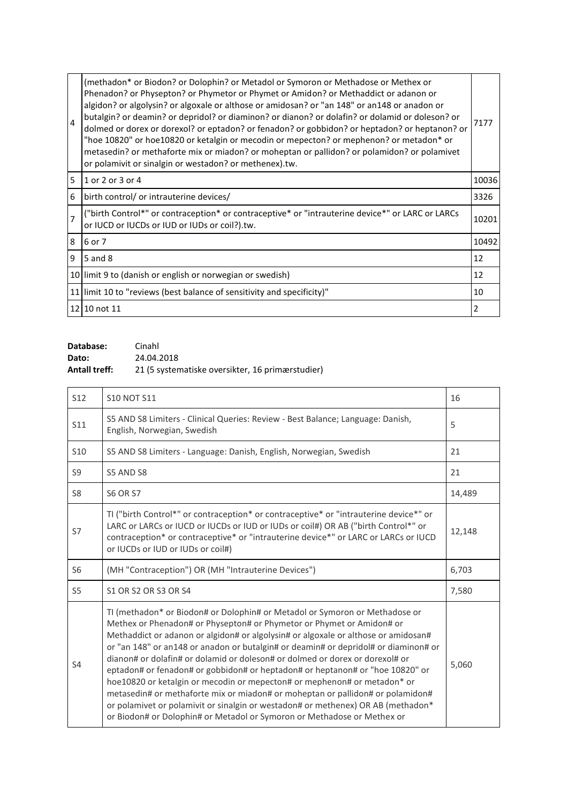| $\overline{4}$ | (methadon* or Biodon? or Dolophin? or Metadol or Symoron or Methadose or Methex or<br>Phenadon? or Physepton? or Phymetor or Phymet or Amidon? or Methaddict or adanon or<br>algidon? or algolysin? or algoxale or althose or amidosan? or "an 148" or an148 or anadon or<br>butalgin? or deamin? or depridol? or diaminon? or dianon? or dolafin? or dolamid or doleson? or<br>dolmed or dorex or dorexol? or eptadon? or fenadon? or gobbidon? or heptadon? or heptanon? or<br>"hoe 10820" or hoe10820 or ketalgin or mecodin or mepecton? or mephenon? or metadon* or<br>metasedin? or methaforte mix or miadon? or moheptan or pallidon? or polamidon? or polamivet<br>or polamivit or sinalgin or westadon? or methenex).tw. | 7177  |
|----------------|-----------------------------------------------------------------------------------------------------------------------------------------------------------------------------------------------------------------------------------------------------------------------------------------------------------------------------------------------------------------------------------------------------------------------------------------------------------------------------------------------------------------------------------------------------------------------------------------------------------------------------------------------------------------------------------------------------------------------------------|-------|
| 5              | 1 or 2 or 3 or 4                                                                                                                                                                                                                                                                                                                                                                                                                                                                                                                                                                                                                                                                                                                  | 10036 |
| 6              | birth control/ or intrauterine devices/                                                                                                                                                                                                                                                                                                                                                                                                                                                                                                                                                                                                                                                                                           | 3326  |
| $\overline{7}$ | ("birth Control*" or contraception* or contraceptive* or "intrauterine device*" or LARC or LARCs<br>or IUCD or IUCDs or IUD or IUDs or coil?).tw.                                                                                                                                                                                                                                                                                                                                                                                                                                                                                                                                                                                 | 10201 |
| 8              | 6 or 7                                                                                                                                                                                                                                                                                                                                                                                                                                                                                                                                                                                                                                                                                                                            | 10492 |
| 9              | 5 and 8                                                                                                                                                                                                                                                                                                                                                                                                                                                                                                                                                                                                                                                                                                                           | 12    |
|                | 10 limit 9 to (danish or english or norwegian or swedish)                                                                                                                                                                                                                                                                                                                                                                                                                                                                                                                                                                                                                                                                         | 12    |
|                | 11 limit 10 to "reviews (best balance of sensitivity and specificity)"                                                                                                                                                                                                                                                                                                                                                                                                                                                                                                                                                                                                                                                            | 10    |
|                | 12 10 not 11                                                                                                                                                                                                                                                                                                                                                                                                                                                                                                                                                                                                                                                                                                                      | 2     |

| Database:            | Cinahl                                           |
|----------------------|--------------------------------------------------|
| Dato:                | 24.04.2018                                       |
| <b>Antall treff:</b> | 21 (5 systematiske oversikter, 16 primærstudier) |

| <b>S12</b>      | <b>S10 NOT S11</b>                                                                                                                                                                                                                                                                                                                                                                                                                                                                                                                                                                                                                                                                                                                                                                                                              | 16     |
|-----------------|---------------------------------------------------------------------------------------------------------------------------------------------------------------------------------------------------------------------------------------------------------------------------------------------------------------------------------------------------------------------------------------------------------------------------------------------------------------------------------------------------------------------------------------------------------------------------------------------------------------------------------------------------------------------------------------------------------------------------------------------------------------------------------------------------------------------------------|--------|
| S11             | S5 AND S8 Limiters - Clinical Queries: Review - Best Balance; Language: Danish,<br>English, Norwegian, Swedish                                                                                                                                                                                                                                                                                                                                                                                                                                                                                                                                                                                                                                                                                                                  | 5      |
| S <sub>10</sub> | S5 AND S8 Limiters - Language: Danish, English, Norwegian, Swedish                                                                                                                                                                                                                                                                                                                                                                                                                                                                                                                                                                                                                                                                                                                                                              | 21     |
| S9              | S5 AND S8                                                                                                                                                                                                                                                                                                                                                                                                                                                                                                                                                                                                                                                                                                                                                                                                                       | 21     |
| S <sub>8</sub>  | <b>S6 OR S7</b>                                                                                                                                                                                                                                                                                                                                                                                                                                                                                                                                                                                                                                                                                                                                                                                                                 | 14,489 |
| S7              | TI ("birth Control*" or contraception* or contraceptive* or "intrauterine device*" or<br>LARC or LARCs or IUCD or IUCDs or IUD or IUDs or coil#) OR AB ("birth Control*" or<br>contraception* or contraceptive* or "intrauterine device*" or LARC or LARCs or IUCD<br>or IUCDs or IUD or IUDs or coil#)                                                                                                                                                                                                                                                                                                                                                                                                                                                                                                                         | 12,148 |
| S6              | (MH "Contraception") OR (MH "Intrauterine Devices")                                                                                                                                                                                                                                                                                                                                                                                                                                                                                                                                                                                                                                                                                                                                                                             | 6,703  |
| S <sub>5</sub>  | S1 OR S2 OR S3 OR S4                                                                                                                                                                                                                                                                                                                                                                                                                                                                                                                                                                                                                                                                                                                                                                                                            | 7,580  |
| S <sub>4</sub>  | TI (methadon* or Biodon# or Dolophin# or Metadol or Symoron or Methadose or<br>Methex or Phenadon# or Physepton# or Phymetor or Phymet or Amidon# or<br>Methaddict or adanon or algidon# or algolysin# or algoxale or althose or amidosan#<br>or "an 148" or an148 or anadon or butalgin# or deamin# or depridol# or diaminon# or<br>dianon# or dolafin# or dolamid or doleson# or dolmed or dorex or dorexol# or<br>eptadon# or fenadon# or gobbidon# or heptadon# or heptanon# or "hoe 10820" or<br>hoe10820 or ketalgin or mecodin or mepecton# or mephenon# or metadon* or<br>metasedin# or methaforte mix or miadon# or moheptan or pallidon# or polamidon#<br>or polamivet or polamivit or sinalgin or westadon# or methenex) OR AB (methadon*<br>or Biodon# or Dolophin# or Metadol or Symoron or Methadose or Methex or | 5,060  |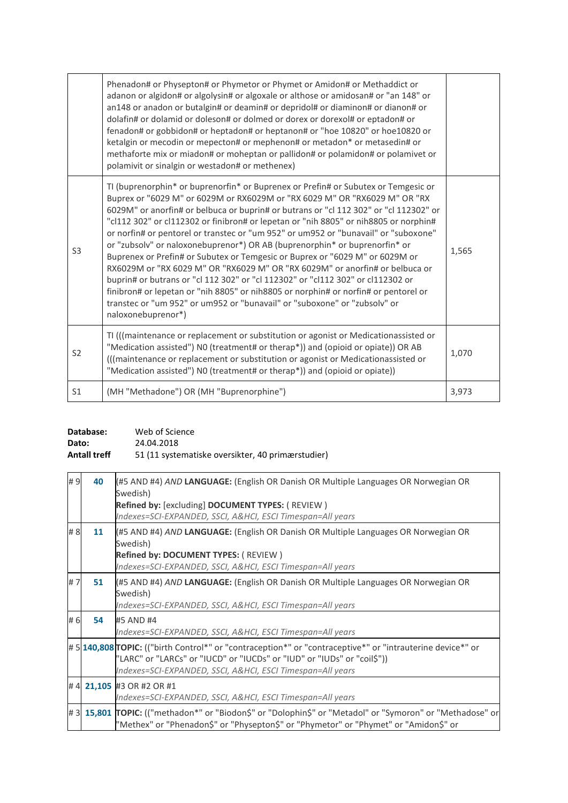|                | Phenadon# or Physepton# or Phymetor or Phymet or Amidon# or Methaddict or<br>adanon or algidon# or algolysin# or algoxale or althose or amidosan# or "an 148" or<br>an148 or anadon or butalgin# or deamin# or depridol# or diaminon# or dianon# or<br>dolafin# or dolamid or doleson# or dolmed or dorex or dorexol# or eptadon# or<br>fenadon# or gobbidon# or heptadon# or heptanon# or "hoe 10820" or hoe10820 or<br>ketalgin or mecodin or mepecton# or mephenon# or metadon* or metasedin# or<br>methaforte mix or miadon# or moheptan or pallidon# or polamidon# or polamivet or<br>polamivit or sinalgin or westadon# or methenex)                                                                                                                                                                                                                                                                                                                          |       |
|----------------|---------------------------------------------------------------------------------------------------------------------------------------------------------------------------------------------------------------------------------------------------------------------------------------------------------------------------------------------------------------------------------------------------------------------------------------------------------------------------------------------------------------------------------------------------------------------------------------------------------------------------------------------------------------------------------------------------------------------------------------------------------------------------------------------------------------------------------------------------------------------------------------------------------------------------------------------------------------------|-------|
| S <sub>3</sub> | TI (buprenorphin* or buprenorfin* or Buprenex or Prefin# or Subutex or Temgesic or<br>Buprex or "6029 M" or 6029M or RX6029M or "RX 6029 M" OR "RX6029 M" OR "RX<br>6029M" or anorfin# or belbuca or buprin# or butrans or "cl 112 302" or "cl 112302" or<br>"cl112 302" or cl112302 or finibron# or lepetan or "nih 8805" or nih8805 or norphin#<br>or norfin# or pentorel or transtec or "um 952" or um952 or "bunavail" or "suboxone"<br>or "zubsolv" or naloxonebuprenor*) OR AB (buprenorphin* or buprenorfin* or<br>Buprenex or Prefin# or Subutex or Temgesic or Buprex or "6029 M" or 6029M or<br>RX6029M or "RX 6029 M" OR "RX6029 M" OR "RX 6029M" or anorfin# or belbuca or<br>buprin# or butrans or "cl 112 302" or "cl 112302" or "cl112 302" or cl112302 or<br>finibron# or lepetan or "nih 8805" or nih8805 or norphin# or norfin# or pentorel or<br>transtec or "um 952" or um952 or "bunavail" or "suboxone" or "zubsoly" or<br>naloxonebuprenor*) | 1,565 |
| S <sub>2</sub> | TI (((maintenance or replacement or substitution or agonist or Medicationassisted or<br>"Medication assisted") N0 (treatment# or therap*)) and (opioid or opiate)) OR AB<br>(((maintenance or replacement or substitution or agonist or Medicationassisted or<br>"Medication assisted") N0 (treatment# or therap*)) and (opioid or opiate))                                                                                                                                                                                                                                                                                                                                                                                                                                                                                                                                                                                                                         | 1,070 |
| S <sub>1</sub> | (MH "Methadone") OR (MH "Buprenorphine")                                                                                                                                                                                                                                                                                                                                                                                                                                                                                                                                                                                                                                                                                                                                                                                                                                                                                                                            | 3,973 |

| Database:           | Web of Science                                    |
|---------------------|---------------------------------------------------|
| Dato:               | 24.04.2018                                        |
| <b>Antall treff</b> | 51 (11 systematiske oversikter, 40 primærstudier) |

| #9  | 40 | (#5 AND #4) AND LANGUAGE: (English OR Danish OR Multiple Languages OR Norwegian OR<br>Swedish)<br>Refined by: [excluding] DOCUMENT TYPES: (REVIEW)<br>Indexes=SCI-EXPANDED, SSCI, A&HCI, ESCI Timespan=All years                                   |
|-----|----|----------------------------------------------------------------------------------------------------------------------------------------------------------------------------------------------------------------------------------------------------|
| # 8 | 11 | (#5 AND #4) AND LANGUAGE: (English OR Danish OR Multiple Languages OR Norwegian OR<br>Swedish)<br><b>Refined by: DOCUMENT TYPES: (REVIEW)</b><br>Indexes=SCI-EXPANDED, SSCI, A&HCI, ESCI Timespan=All years                                        |
| #7  | 51 | (#5 AND #4) AND LANGUAGE: (English OR Danish OR Multiple Languages OR Norwegian OR<br>Swedish)<br>Indexes=SCI-EXPANDED, SSCI, A&HCI, ESCI Timespan=All years                                                                                       |
| # 6 | 54 | #5 AND #4<br>Indexes=SCI-EXPANDED, SSCI, A&HCI, ESCI Timespan=All years                                                                                                                                                                            |
|     |    | #5 140,808 TOPIC: (("birth Control*" or "contraception*" or "contraceptive*" or "intrauterine device*" or<br>"LARC" or "LARCs" or "IUCD" or "IUCDs" or "IUD" or "IUDs" or "coil\$"))<br>Indexes=SCI-EXPANDED, SSCI, A&HCI, ESCI Timespan=All years |
|     |    | # 4 21,105 #3 OR #2 OR #1<br>Indexes=SCI-EXPANDED, SSCI, A&HCI, ESCI Timespan=All years                                                                                                                                                            |
|     |    | #3 15,801 TOPIC: (("methadon*" or "Biodon\$" or "Dolophin\$" or "Metadol" or "Symoron" or "Methadose" or<br>"Methex" or "Phenadon\$" or "Physepton\$" or "Phymetor" or "Phymet" or "Amidon\$" or                                                   |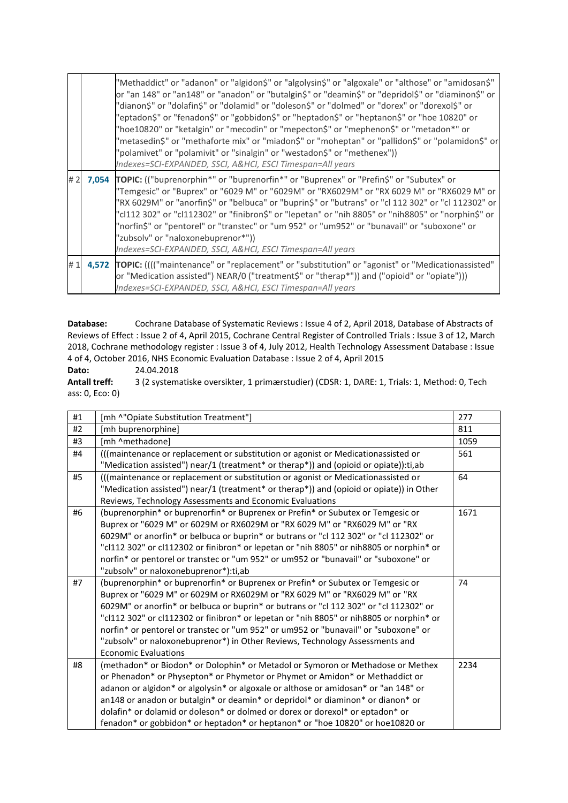|    | "Methaddict" or "adanon" or "algidon\$" or "algolysin\$" or "algoxale" or "althose" or "amidosan\$"<br>or "an 148" or "an148" or "anadon" or "butalgin\$" or "deamin\$" or "depridol\$" or "diaminon\$" or<br>"dianon\$" or "dolafin\$" or "dolamid" or "doleson\$" or "dolmed" or "dorex" or "dorexol\$" or<br>"eptadon\$" or "fenadon\$" or "gobbidon\$" or "heptadon\$" or "heptanon\$" or "hoe 10820" or<br>"hoe10820" or "ketalgin" or "mecodin" or "mepecton\$" or "mephenon\$" or "metadon*" or<br>"metasedin\$" or "methaforte mix" or "miadon\$" or "moheptan" or "pallidon\$" or "polamidon\$" or<br>"polamivet" or "polamivit" or "sinalgin" or "westadon\$" or "methenex"))<br>Indexes=SCI-EXPANDED, SSCI, A&HCI, ESCI Timespan=All years |
|----|-------------------------------------------------------------------------------------------------------------------------------------------------------------------------------------------------------------------------------------------------------------------------------------------------------------------------------------------------------------------------------------------------------------------------------------------------------------------------------------------------------------------------------------------------------------------------------------------------------------------------------------------------------------------------------------------------------------------------------------------------------|
| #2 | 7,054 TOPIC: (("buprenorphin*" or "buprenorfin*" or "Buprenex" or "Prefin\$" or "Subutex" or<br>"Temgesic" or "Buprex" or "6029 M" or "6029M" or "RX6029M" or "RX 6029 M" or "RX6029 M" or<br>"RX 6029M" or "anorfin\$" or "belbuca" or "buprin\$" or "butrans" or "cl 112 302" or "cl 112302" or<br>"cl112 302" or "cl112302" or "finibron\$" or "lepetan" or "nih 8805" or "nih8805" or "norphin\$" or<br>"norfin\$" or "pentorel" or "transtec" or "um 952" or "um952" or "bunavail" or "suboxone" or<br>"zubsolv" or "naloxonebuprenor*"))<br>Indexes=SCI-EXPANDED, SSCI, A&HCI, ESCI Timespan=All years                                                                                                                                          |
| #1 | 4,572 TOPIC: (((("maintenance" or "replacement" or "substitution" or "agonist" or "Medicationassisted"<br>or "Medication assisted") NEAR/0 ("treatment\$" or "therap*")) and ("opioid" or "opiate")))<br>Indexes=SCI-EXPANDED, SSCI, A&HCI, ESCI Timespan=All years                                                                                                                                                                                                                                                                                                                                                                                                                                                                                   |

Cochrane Database of Systematic Reviews : Issue 4 of 2, April 2018, Database of Abstracts of Database: Reviews of Effect : Issue 2 of 4, April 2015, Cochrane Central Register of Controlled Trials : Issue 3 of 12, March 2018, Cochrane methodology register : Issue 3 of 4, July 2012, Health Technology Assessment Database : Issue 4 of 4, October 2016, NHS Economic Evaluation Database : Issue 2 of 4, April 2015

Dato: 24.04.2018

**Antall treff:** 3 (2 systematiske oversikter, 1 primærstudier) (CDSR: 1, DARE: 1, Trials: 1, Method: 0, Tech ass: 0, Eco: 0)

| #1 | [mh ^"Opiate Substitution Treatment"]                                                   | 277  |
|----|-----------------------------------------------------------------------------------------|------|
| #2 | [mh buprenorphine]                                                                      | 811  |
| #3 | [mh ^methadone]                                                                         | 1059 |
| #4 | (((maintenance or replacement or substitution or agonist or Medicationassisted or       | 561  |
|    | "Medication assisted") near/1 (treatment* or therap*)) and (opioid or opiate)):ti,ab    |      |
| #5 | (((maintenance or replacement or substitution or agonist or Medicationassisted or       | 64   |
|    | "Medication assisted") near/1 (treatment* or therap*)) and (opioid or opiate)) in Other |      |
|    | Reviews, Technology Assessments and Economic Evaluations                                |      |
| #6 | (buprenorphin* or buprenorfin* or Buprenex or Prefin* or Subutex or Temgesic or         | 1671 |
|    | Buprex or "6029 M" or 6029M or RX6029M or "RX 6029 M" or "RX6029 M" or "RX              |      |
|    | 6029M" or anorfin* or belbuca or buprin* or butrans or "cl 112 302" or "cl 112302" or   |      |
|    | "cl112 302" or cl112302 or finibron* or lepetan or "nih 8805" or nih8805 or norphin* or |      |
|    | norfin* or pentorel or transtec or "um 952" or um952 or "bunavail" or "suboxone" or     |      |
|    | "zubsolv" or naloxonebuprenor*):ti,ab                                                   |      |
| #7 | (buprenorphin* or buprenorfin* or Buprenex or Prefin* or Subutex or Temgesic or         | 74   |
|    | Buprex or "6029 M" or 6029M or RX6029M or "RX 6029 M" or "RX6029 M" or "RX              |      |
|    | 6029M" or anorfin* or belbuca or buprin* or butrans or "cl 112 302" or "cl 112302" or   |      |
|    | "cl112 302" or cl112302 or finibron* or lepetan or "nih 8805" or nih8805 or norphin* or |      |
|    | norfin* or pentorel or transtec or "um 952" or um952 or "bunavail" or "suboxone" or     |      |
|    | "zubsolv" or naloxonebuprenor*) in Other Reviews, Technology Assessments and            |      |
|    | <b>Economic Evaluations</b>                                                             |      |
| #8 | (methadon* or Biodon* or Dolophin* or Metadol or Symoron or Methadose or Methex         | 2234 |
|    | or Phenadon* or Physepton* or Phymetor or Phymet or Amidon* or Methaddict or            |      |
|    | adanon or algidon* or algolysin* or algoxale or althose or amidosan* or "an 148" or     |      |
|    | an148 or anadon or butalgin* or deamin* or depridol* or diaminon* or dianon* or         |      |
|    | dolafin* or dolamid or doleson* or dolmed or dorex or dorexol* or eptadon* or           |      |
|    | fenadon* or gobbidon* or heptadon* or heptanon* or "hoe 10820" or hoe10820 or           |      |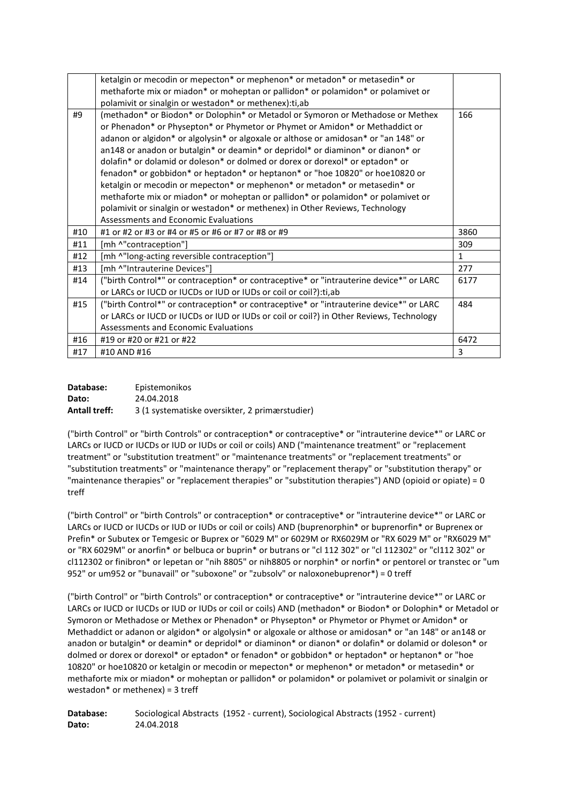|     | ketalgin or mecodin or mepecton* or mephenon* or metadon* or metasedin* or                                                                                      |              |
|-----|-----------------------------------------------------------------------------------------------------------------------------------------------------------------|--------------|
|     | methaforte mix or miadon* or moheptan or pallidon* or polamidon* or polamivet or                                                                                |              |
|     | polamivit or sinalgin or westadon* or methenex):ti,ab                                                                                                           |              |
| #9  | (methadon* or Biodon* or Dolophin* or Metadol or Symoron or Methadose or Methex<br>or Phenadon* or Physepton* or Phymetor or Phymet or Amidon* or Methaddict or | 166          |
|     | adanon or algidon* or algolysin* or algoxale or althose or amidosan* or "an 148" or                                                                             |              |
|     | an148 or anadon or butalgin* or deamin* or depridol* or diaminon* or dianon* or                                                                                 |              |
|     | dolafin* or dolamid or doleson* or dolmed or dorex or dorexol* or eptadon* or                                                                                   |              |
|     | fenadon* or gobbidon* or heptadon* or heptanon* or "hoe 10820" or hoe10820 or                                                                                   |              |
|     | ketalgin or mecodin or mepecton* or mephenon* or metadon* or metasedin* or                                                                                      |              |
|     | methaforte mix or miadon* or moheptan or pallidon* or polamidon* or polamivet or                                                                                |              |
|     | polamivit or sinalgin or westadon* or methenex) in Other Reviews, Technology                                                                                    |              |
|     | Assessments and Economic Evaluations                                                                                                                            |              |
| #10 | #1 or #2 or #3 or #4 or #5 or #6 or #7 or #8 or #9                                                                                                              | 3860         |
| #11 | [mh ^"contraception"]                                                                                                                                           | 309          |
| #12 | [mh ^"long-acting reversible contraception"]                                                                                                                    | $\mathbf{1}$ |
| #13 | [mh ^"Intrauterine Devices"]                                                                                                                                    | 277          |
| #14 | ("birth Control*" or contraception* or contraceptive* or "intrauterine device*" or LARC                                                                         | 6177         |
|     | or LARCs or IUCD or IUCDs or IUD or IUDs or coil or coil?): ti, ab                                                                                              |              |
| #15 | ("birth Control*" or contraception* or contraceptive* or "intrauterine device*" or LARC                                                                         | 484          |
|     | or LARCs or IUCD or IUCDs or IUD or IUDs or coil or coil?) in Other Reviews, Technology                                                                         |              |
|     | Assessments and Economic Evaluations                                                                                                                            |              |
| #16 | #19 or #20 or #21 or #22                                                                                                                                        | 6472         |
| #17 | #10 AND #16                                                                                                                                                     | 3            |

| Database:            | Epistemonikos                                  |
|----------------------|------------------------------------------------|
| Dato:                | 24.04.2018                                     |
| <b>Antall treff:</b> | 3 (1 systematiske oversikter, 2 primærstudier) |

("birth Control" or "birth Controls" or contraception\* or contraceptive\* or "intrauterine device\*" or LARC or LARCs or IUCD or IUCDs or IUD or IUDs or coil or coils) AND ("maintenance treatment" or "replacement treatment" or "substitution treatment" or "maintenance treatments" or "replacement treatments" or "substitution treatments" or "maintenance therapy" or "replacement therapy" or "substitution therapy" or "maintenance therapies" or "replacement therapies" or "substitution therapies") AND (opioid or opiate) = 0 treff

("birth Control" or "birth Controls" or contraception\* or contraceptive\* or "intrauterine device\*" or LARC or LARCs or IUCD or IUCDs or IUD or IUDs or coil or coils) AND (buprenorphin\* or buprenorfin\* or Buprenex or Prefin\* or Subutex or Temgesic or Buprex or "6029 M" or 6029M or RX6029M or "RX 6029 M" or "RX6029 M" or "RX 6029M" or anorfin\* or belbuca or buprin\* or butrans or "cl 112 302" or "cl 112302" or "cl112 302" or cl112302 or finibron\* or lepetan or "nih 8805" or nih8805 or norphin\* or norfin\* or pentorel or transtec or "um 952" or um952 or "bunavail" or "suboxone" or "zubsolv" or naloxonebuprenor\*) = 0 treff

("birth Control" or "birth Controls" or contraception\* or contraceptive\* or "intrauterine device\*" or LARC or LARCs or IUCD or IUCDs or IUD or IUDs or coil or coils) AND (methadon\* or Biodon\* or Dolophin\* or Metadol or Symoron or Methadose or Methex or Phenadon\* or Physepton\* or Phymetor or Phymet or Amidon\* or Methaddict or adanon or algidon\* or algolysin\* or algoxale or althose or amidosan\* or "an 148" or an148 or anadon or butalgin\* or deamin\* or depridol\* or diaminon\* or dianon\* or dolafin\* or dolamid or doleson\* or dolmed or dorex or dorexol\* or eptadon\* or fenadon\* or gobbidon\* or heptadon\* or heptanon\* or "hoe 10820" or hoe10820 or ketalgin or mecodin or mepecton\* or mephenon\* or metadon\* or metasedin\* or methaforte mix or miadon\* or moheptan or pallidon\* or polamidon\* or polamivet or polamivit or sinalgin or westadon\* or methenex) = 3 treff

**Database:** Sociological Abstracts (1952 - current), Sociological Abstracts (1952 - current) **Dato:** 24.04.2018